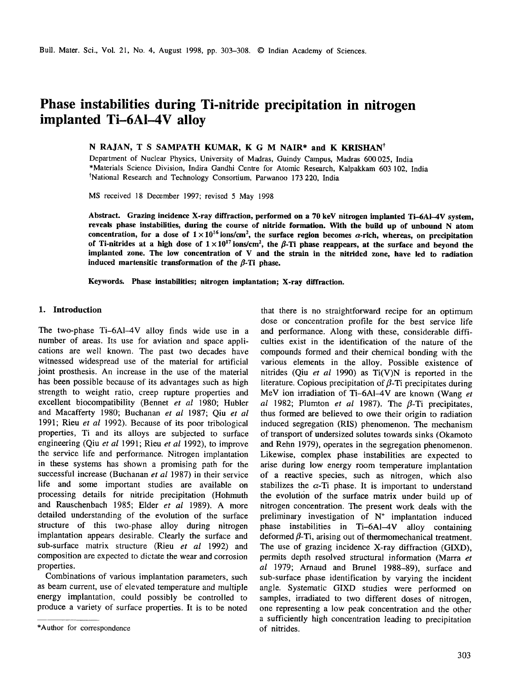# **Phase instabilities during Ti-nitride precipitation in nitrogen implanted Ti-6AI-4V alloy**

## N RAJAN, T S SAMPATH KUMAR, K G M NAIR\* and K KRISHAN<sup>†</sup>

Department of Nuclear Physics, University of Madras, Guindy Campus, Madras 600025, India \*Materials Science Division, Indira Gandhi Centre for Atomic Research, Kalpakkam 603 102, India <sup>†</sup>National Research and Technology Consortium, Parwanoo 173 220, India

MS received 18 December 1997; revised 5 May 1998

**Abstract. Grazing incidence X-ray diffraction, performed on a 70 keY nitrogen implanted Ti-6AI-4V system, reveals phase instabilities, during the course of nitride formation. With the build up of unbound N atom**  concentration, for a dose of  $1 \times 10^{16}$  ions/cm<sup>2</sup>, the surface region becomes  $\alpha$ -rich, whereas, on precipitation of Ti-nitrides at a high dose of  $1 \times 10^{17}$  ions/cm<sup>2</sup>, the  $\beta$ -Ti phase reappears, at the surface and beyond the **implanted zone. The low concentration of V and the strain in the nitrided zone, have led to radiation**  induced martensitic transformation of the  $\beta$ -Ti phase.

**Keywords. Phase instabilities; nitrogen implantation; X-ray diffraction.** 

### **1. Introduction**

The two-phase Ti-6A1-4V alloy finds wide use in a number of areas. Its use for aviation and space applications are well known. The past two decades have witnessed widespread use of the material for artificial joint prosthesis. An increase in the use of the material has been possible because of its advantages such as high strength to weight ratio, creep rupture properties and excellent biocompatibility (Bennet *et al* 1980; Hubler and Macafferty 1980; Buchanan *et al* 1987; Qiu *et al*  1991; Rieu *et al* 1992). Because of its poor tribological properties, Ti and its alloys are subjected to surface engineering (Qiu *et al* 1991; Rieu *et al* 1992), to improve the service life and performance. Nitrogen implantation in these systems has shown a promising path for the successful increase (Buchanan *et al* 1987) in their service life and some important studies are available on processing details for nitride precipitation (Hohmuth and Rauschenbach 1985; Elder *et al* 1989). A more detailed understanding of the evolution of the surface structure of this two-phase alloy during nitrogen implantation appears desirable. Clearly the surface and sub-surface matrix structure (Rieu *et al* 1992) and composition are expected to dictate the wear and corrosion properties.

Combinations of various implantation parameters, such as beam current, use of elevated temperature and multiple energy implantation, could possibly be controlled to produce a variety of surface properties. It is to be noted

that there is no straightforward recipe for an optimum dose or concentration profile for the best service life and performance. Along with these, considerable difficulties exist in the identification of the nature of the compounds formed and their chemical bonding with the various elements in the alloy. Possible existence of nitrides (Qiu *et al* 1990) as Ti(V)N is reported in the literature. Copious precipitation of  $\beta$ -Ti precipitates during MeV ion irradiation of Ti-6AI-4V are known (Wang *et al* 1982; Plumton *et al* 1987). The  $\beta$ -Ti precipitates, thus formed are believed to owe their origin to radiation induced segregation (RIS) phenomenon. The mechanism of transport of undersized solutes towards sinks (Okamoto and Rehn 1979), operates in the segregation phenomenon. Likewise, complex phase instabilities are expected to arise during low energy room temperature implantation of a reactive species, such as nitrogen, which also stabilizes the  $\alpha$ -Ti phase. It is important to understand the evolution of the surface matrix under build up of nitrogen concentration. The present work deals with the preliminary investigation of  $N^+$  implantation induced phase instabilities in Ti-6AI-4V alloy containing deformed  $\beta$ -Ti, arising out of thermomechanical treatment. The use of grazing incidence X-ray diffraction (GIXD), permits depth resolved structural information (Marra *et al* 1979; Arnaud and Brunel 1988-89), surface and sub-surface phase identification by varying the incident angle. Systematic GIXD studies were performed on samples, irradiated to two different doses of nitrogen, one representing a low peak concentration and the other a sufficiently high concentration leading to precipitation of nitrides.

<sup>\*</sup>Author for correspondence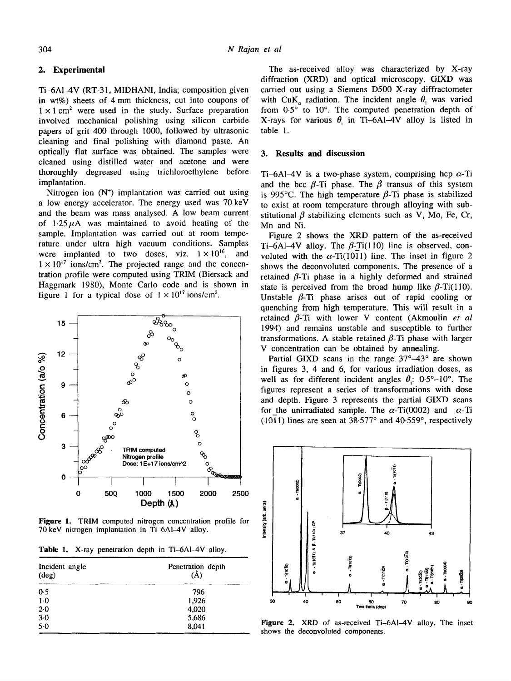## **2. Experimental**

Ti-6AI-4V (RT-31, MIDHANI, India; composition given in wt%) sheets of 4 mm thickness, cut into coupons of  $1 \times 1$  cm<sup>2</sup> were used in the study. Surface preparation involved mechanical polishing using silicon carbide papers of grit 400 through 1000, followed by ultrasonic cleaning and final polishing with diamond paste. An optically fiat surface was obtained. The samples were cleaned using distilled water and acetone and were thoroughly degreased using trichloroethylene before implantation.

Nitrogen ion  $(N^+)$  implantation was carried out using a low energy accelerator. The energy used was 70 keV and the beam was mass analysed. A low beam current of  $1.25 \mu$ A was maintained to avoid heating of the sample. Implantation was carried out at room temperature under ultra high vacuum conditions. Samples were implanted to two doses, viz.  $1 \times 10^{16}$ , and  $1 \times 10^{17}$  ions/cm<sup>2</sup>. The projected range and the concentration profile were computed using TRIM (Biersack and Haggmark 1980), Monte Carlo code and is shown in figure 1 for a typical dose of  $1 \times 10^{17}$  ions/cm<sup>2</sup>.



Figure 1. TRIM computed nitrogen concentration profile for 70 keV nitrogen implantation in Ti-6Al-4V alloy.

Table 1. X-ray penetration depth in Ti-6Al-4V alloy.

| Incident angle<br>$(\text{deg})$ | Penetration depth<br>(Å) |
|----------------------------------|--------------------------|
| 0.5                              | 796                      |
| $1-0$                            | 1,926                    |
| 2.0                              | 4,020                    |
| $3 - 0$                          | 5,686                    |
| $5-0$                            | 8,041                    |

The as-received alloy was characterized by X-ray diffraction (XRD) and optical microscopy. GIXD was carried out using a Siemens D500 X-ray diffractometer with CuK<sub>n</sub> radiation. The incident angle  $\theta$ , was varied from  $0.5^\circ$  to  $10^\circ$ . The computed penetration depth of X-rays for various  $\theta$ , in Ti-6Al-4V alloy is listed in table 1.

## **3. Results and discussion**

Ti-6Al-4V is a two-phase system, comprising hcp  $\alpha$ -Ti and the bcc  $\beta$ -Ti phase. The  $\beta$  transus of this system is 995°C. The high temperature  $\beta$ -Ti phase is stabilized to exist at room temperature through alloying with substitutional  $\beta$  stabilizing elements such as V, Mo, Fe, Cr, Mn and Ni.

Figure 2 shows the XRD pattern of the as-received Ti-6Al-4V alloy. The  $\beta$ -Ti(110) line is observed, convoluted with the  $\alpha$ -Ti(1011) line. The inset in figure 2 shows the deconvoluted components. The presence of a retained  $\beta$ -Ti phase in a highly deformed and strained state is perceived from the broad hump like  $\beta$ -Ti(110). Unstable  $\beta$ -Ti phase arises out of rapid cooling or quenching from high temperature. This will result in a retained  $\beta$ -Ti with lower V content (Akmoulin *et al* 1994) and remains unstable and susceptible to further transformations. A stable retained  $\beta$ -Ti phase with larger V concentration can be obtained by annealing.

Partial GIXD scans in the range  $37^{\circ} - 43^{\circ}$  are shown in figures 3, 4 and 6, for various irradiation doses, as well as for different incident angles  $\theta$ : 0.5°-10°. The figures represent a series of transformations with dose and depth. Figure 3 represents the partial GIXD scans for the unirradiated sample. The  $\alpha$ -Ti(0002) and  $\alpha$ -Ti (1011) lines are seen at  $38.577^{\circ}$  and  $40.559^{\circ}$ , respectively



Figure 2. XRD of as-received Ti-6Al-4V alloy. The inset shows the deconvoluted components.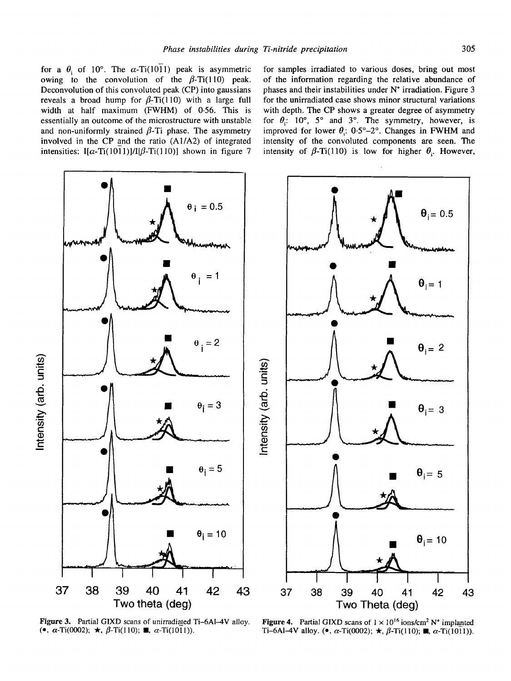for a  $\theta_i$  of 10°. The  $\alpha$ -Ti(1011) peak is asymmetric owing to the convolution of the  $\beta$ -Ti(110) peak. Deconvolution of this convoluted peak (CP) into gaussians reveals a broad hump for  $\beta$ -Ti(110) with a large full width at half maximum (FWHM) of 0.56. This is essentially an outcome of the microstructure with unstable and non-uniformly strained  $\beta$ -Ti phase. The asymmetry involved in the CP and the ratio (A1/A2) of integrated intensities: I[ $\alpha$ -Ti(1011)]/I[ $\beta$ -Ti(110)] shown in figure 7

for samples irradiated to various doses, bring out most of the information regarding the relative abundance of phases and their instabilities under  $N^+$  irradiation. Figure 3 for the unirradiated case shows minor structural variations with depth. The CP shows a greater degree of asymmetry for  $\theta_i$ : 10°, 5° and 3°. The symmetry, however, is improved for lower  $\theta$ : 0.5°-2°. Changes in FWHM and intensity of the convoluted components are seen. The intensity of  $\beta$ -Ti(110) is low for higher  $\theta$ . However,



Figure 3. Partial GIXD scans of unirradiated Ti-6Al-4V alloy. Figure 4. Partial GIXD scans of  $1 \times 10^{16}$  ions/cm<sup>2</sup> N<sup>+</sup> implanted ( $\bullet$ ,  $\alpha$ -Ti(0002);  $\star$ ,  $\beta$ -Ti(110);  $\bullet$ ,  $\alpha$ -Ti(110);  $\bullet$ ,  $\alpha$ -Ti(110);  $\bullet$ , Ti-6Al-4V alloy. ( $\bullet$ ,  $\alpha$ -Ti(0002);  $\star$ ,  $\beta$ -Ti(110); **ii**,  $\alpha$ -Ti(1011)).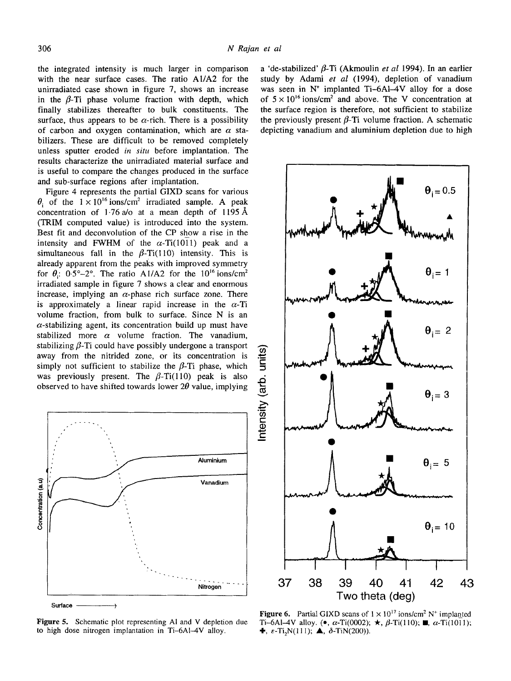$\checkmark$ 

the integrated intensity is much larger in comparison with the near surface cases. The ratio AI/A2 for the unirradiated case shown in figure 7, shows an increase in the  $\beta$ -Ti phase volume fraction with depth, which finally stabilizes thereafter to bulk constituents. The surface, thus appears to be  $\alpha$ -rich. There is a possibility of carbon and oxygen contamination, which are  $\alpha$  stabilizers. These are difficult to be removed completely unless sputter eroded *in situ* before implantation. The results characterize the unirradiated material surface and is useful to compare the changes produced in the surface and sub-surface regions after implantation.

Figure 4 represents the partial GIXD scans for various  $\theta$  of the  $1 \times 10^{16}$  ions/cm<sup>2</sup> irradiated sample. A peak concentration of 1.76  $a$ /o at a mean depth of 1195 Å  $(TRIM$  computed value) is introduced into the system. Best fit and deconvolution of the CP show a rise in the intensity and FWHM of the  $\alpha$ -Ti(1011) peak and a simultaneous fall in the  $\beta$ -Ti(110) intensity. This is already apparent from the peaks with improved symmetry for  $\theta$ : 0.5°-2°. The ratio A1/A2 for the 10<sup>16</sup> ions/cm<sup>2</sup> irradiated sample in figure 7 shows a clear and enormous increase, implying an  $\alpha$ -phase rich surface zone. There is approximately a linear rapid increase in the  $\alpha$ -Ti volume fraction, from bulk to surface. Since N is an  $\alpha$ -stabilizing agent, its concentration build up must have stabilized more  $\alpha$  volume fraction. The vanadium, stabilizing  $\beta$ -Ti could have possibly undergone a transport away from the nitrided zone, or its concentration is simply not sufficient to stabilize the  $\beta$ -Ti phase, which was previously present. The  $\beta$ -Ti(110) peak is also observed to have shifted towards lower  $2\theta$  value, implying



Figure 5. Schematic plot representing Al and V depletion due to high dose nitrogen implantation in Ti-6A1-4V alloy.

a 'de-stabilized'  $\beta$ -Ti (Akmoulin *et al* 1994). In an earlier study by Adami et al (1994), depletion of vanadium was seen in  $N^+$  implanted Ti-6Al-4V alloy for a dose of  $5 \times 10^{16}$  ions/cm<sup>2</sup> and above. The V concentration at the surface region is therefore, not sufficient to stabilize the previously present  $\beta$ -Ti volume fraction. A schematic depicting vanadium and aluminium depletion due to high



Figure 6. Partial GIXD scans of  $1 \times 10^{17}$  ions/cm<sup>2</sup> N<sup>+</sup> implanted Ti-6Al-4V alloy. (●,  $\alpha$ -Ti(0002); ★,  $\beta$ -Ti(110); ■,  $\alpha$ -Ti(1011);  $\blacklozenge$ ,  $\varepsilon$ -Ti<sub>2</sub>N(111);  $\blacktriangle$ ,  $\delta$ -TiN(200)).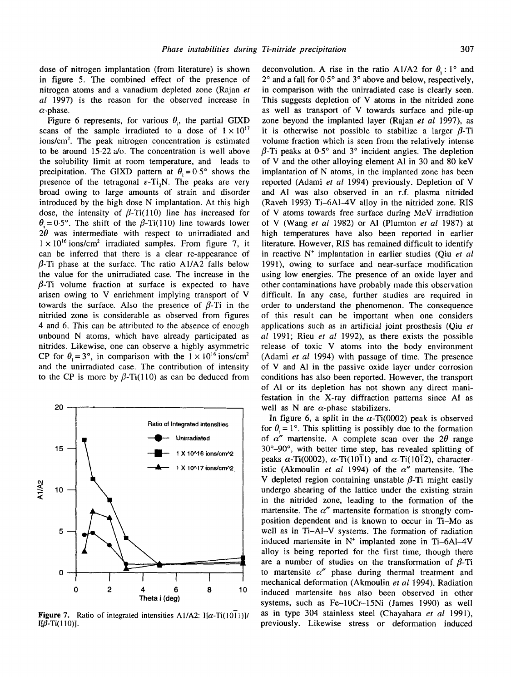dose of nitrogen implantation (from literature) is shown in figure 5. The combined effect of the presence of nitrogen atoms and a vanadium depleted zone (Rajan *et al* 1997) is the reason for the observed increase in  $\alpha$ -phase.

Figure 6 represents, for various  $\theta_i$ , the partial GIXD scans of the sample irradiated to a dose of  $1 \times 10^{17}$  $ions/cm<sup>2</sup>$ . The peak nitrogen concentration is estimated to be around 15.22 a/o. The concentration is well above the solubility limit at room temperature, and leads to precipitation. The GIXD pattern at  $\theta_1 = 0.5^\circ$  shows the presence of the tetragonal  $\varepsilon$ -Ti<sub>2</sub>N. The peaks are very broad owing to large amounts of strain and disorder introduced by the high dose N implantation. At this high dose, the intensity of  $\beta$ -Ti(110) line has increased for  $\theta_i = 0.5^{\circ}$ . The shift of the  $\beta$ -Ti(110) line towards lower  $2\theta$  was intermediate with respect to unirradiated and  $1 \times 10^{16}$  ions/cm<sup>2</sup> irradiated samples. From figure 7, it can be inferred that there is a clear re-appearance of  $\beta$ -Ti phase at the surface. The ratio A1/A2 falls below the value for the unirradiated case. The increase in the  $\beta$ -Ti volume fraction at surface is expected to have arisen owing to V enrichment implying transport of V towards the surface. Also the presence of  $\beta$ -Ti in the nitrided zone is considerable as observed from figures 4 and 6. This can be attributed to the absence of enough unbound N atoms, which have already participated as nitrides. Likewise, one can observe a highly asymmetric CP for  $\theta_i=3^\circ$ , in comparison with the  $1 \times 10^{16}$  ions/cm<sup>2</sup> and the unirradiated case. The contribution of intensity to the CP is more by  $\beta$ -Ti(110) as can be deduced from



Figure 7. Ratio of integrated intensities A1/A2:  $I[\alpha$ -Ti(1011)]/ I[ $\beta$ -Ti(110)].

deconvolution. A rise in the ratio A1/A2 for  $\theta$  : 1° and  $2^{\circ}$  and a fall for  $0.5^{\circ}$  and  $3^{\circ}$  above and below, respectively, in comparison with the unirradiated case is clearly seen. This suggests depletion of V atoms in the nitrided zone as well as transport of V towards surface and pile-up zone beyond the implanted layer (Rajan *et al* 1997), as it is otherwise not possible to stabilize a larger  $\beta$ -Ti volume fraction which is seen from the relatively intense  $\beta$ -Ti peaks at 0.5° and 3° incident angles. The depletion of V and the other alloying element A1 in 30 and 80 keV implantation of N atoms, in the implanted zone has been reported (Adami *et al* 1994) previously. Depletion of V and AI was also observed in an r.f. plasma nitrided (Raveh 1993) Ti-6AI-4V alloy in the nitrided zone. RIS of V atoms towards free surface during MeV irradiation of V (Wang *et al* 1982) or AI (Plumton *et al* 1987) at high temperatures have also been reported in earlier literature. However, RIS has remained difficult to identify in reactive N<sup>+</sup> implantation in earlier studies (Qiu *et al* 1991), owing to surface and near-surface modification using low energies. The presence of an oxide layer and other contaminations have probably made this observation difficult. In any case, further studies are required in order to understand the phenomenon. The consequence of this result can be important when one considers applications such as in artificial joint prosthesis (Qiu *et al* 1991; Rieu *et al* 1992), as there exists the possible release of toxic V atoms into the body environment (Adami *et al* 1994) with passage of time. The presence of V and A1 in the passive oxide layer under corrosion conditions has also been reported. However, the transport of Ai or its depletion has not shown any direct manifestation in the X-ray diffraction patterns since AI as well as N are  $\alpha$ -phase stabilizers.

In figure 6, a split in the  $\alpha$ -Ti(0002) peak is observed for  $\theta = 1^\circ$ . This splitting is possibly due to the formation of  $\alpha''$  martensite. A complete scan over the 2 $\theta$  range  $30^{\circ}$ -90°, with better time step, has revealed splitting of peaks  $\alpha$ -Ti(0002),  $\alpha$ -Ti(1011) and  $\alpha$ -Ti(1012), characteristic (Akmoulin *et al* 1994) of the *a"* martensite. The V depleted region containing unstable  $\beta$ -Ti might easily undergo shearing of the lattice under the existing strain in the nitrided zone, leading to the formation of the martensite. The  $\alpha''$  martensite formation is strongly composition dependent and is known to occur in Ti-Mo as well as in Ti-AI-V systems. The formation of radiation induced martensite in  $N^+$  implanted zone in Ti-6Al-4V alloy is being reported for the first time, though there are a number of studies on the transformation of  $\beta$ -Ti to martensite  $\alpha''$  phase during thermal treatment and mechanical deformation (Akmoulin *et al* 1994). Radiation induced martensite has also been observed in other systems, such as Fe-10Cr-15Ni (James 1990) as well as in type 304 stainless steel (Chayahara *et al* 1991), previously. Likewise stress or deformation induced